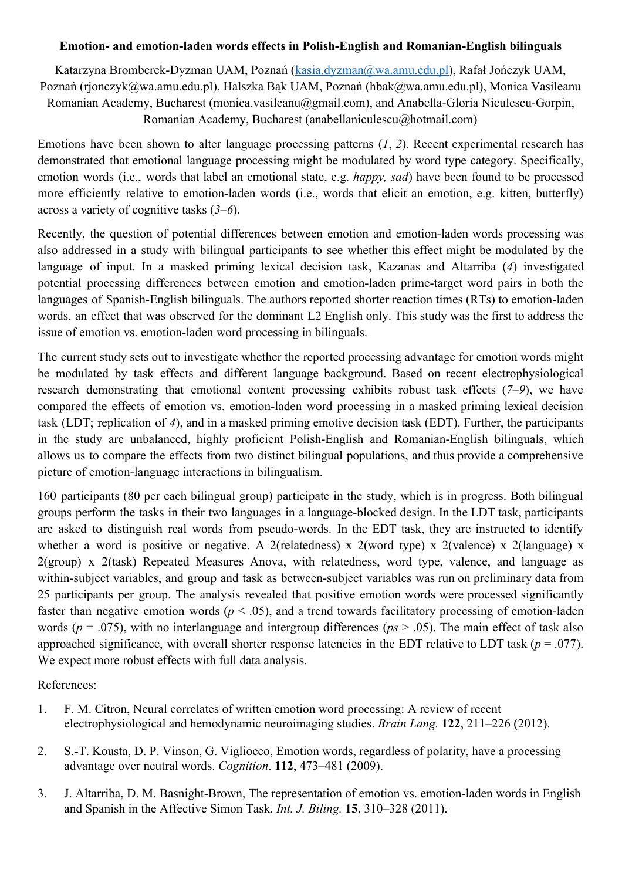## **Emotion- and emotion-laden words effects in Polish-English and Romanian-English bilinguals**

Katarzyna Bromberek-Dyzman UAM, Poznań ([kasia.dyzman@wa.amu.edu.pl\)](mailto:kasia.dyzman@wa.amu.edu.pl), Rafał Jończyk UAM, Poznań (rjonczyk@wa.amu.edu.pl), Halszka Bąk UAM, Poznań (hbak@wa.amu.edu.pl), Monica Vasileanu Romanian Academy, Bucharest (monica.vasileanu@gmail.com), and Anabella-Gloria Niculescu-Gorpin, Romanian Academy, Bucharest (anabellaniculescu@hotmail.com)

Emotions have been shown to alter language processing patterns (*1*, *2*). Recent experimental research has demonstrated that emotional language processing might be modulated by word type category. Specifically, emotion words (i.e., words that label an emotional state, e.g. *happy, sad*) have been found to be processed more efficiently relative to emotion-laden words (i.e., words that elicit an emotion, e.g. kitten, butterfly) across a variety of cognitive tasks (*3*–*6*).

Recently, the question of potential differences between emotion and emotion-laden words processing was also addressed in a study with bilingual participants to see whether this effect might be modulated by the language of input. In a masked priming lexical decision task, Kazanas and Altarriba (*4*) investigated potential processing differences between emotion and emotion-laden prime-target word pairs in both the languages of Spanish-English bilinguals. The authors reported shorter reaction times (RTs) to emotion-laden words, an effect that was observed for the dominant L2 English only. This study was the first to address the issue of emotion vs. emotion-laden word processing in bilinguals.

The current study sets out to investigate whether the reported processing advantage for emotion words might be modulated by task effects and different language background. Based on recent electrophysiological research demonstrating that emotional content processing exhibits robust task effects (*7*–*9*), we have compared the effects of emotion vs. emotion-laden word processing in a masked priming lexical decision task (LDT; replication of *4*), and in a masked priming emotive decision task (EDT). Further, the participants in the study are unbalanced, highly proficient Polish-English and Romanian-English bilinguals, which allows us to compare the effects from two distinct bilingual populations, and thus provide a comprehensive picture of emotion-language interactions in bilingualism.

160 participants (80 per each bilingual group) participate in the study, which is in progress. Both bilingual groups perform the tasks in their two languages in a language-blocked design. In the LDT task, participants are asked to distinguish real words from pseudo-words. In the EDT task, they are instructed to identify whether a word is positive or negative. A 2(relatedness) x 2(word type) x 2(valence) x 2(language) x 2(group) x 2(task) Repeated Measures Anova, with relatedness, word type, valence, and language as within-subject variables, and group and task as between-subject variables was run on preliminary data from 25 participants per group. The analysis revealed that positive emotion words were processed significantly faster than negative emotion words ( $p < .05$ ), and a trend towards facilitatory processing of emotion-laden words (*p* = .075), with no interlanguage and intergroup differences (*ps* > .05). The main effect of task also approached significance, with overall shorter response latencies in the EDT relative to LDT task ( $p = .077$ ). We expect more robust effects with full data analysis.

References:

- 1. F. M. Citron, Neural correlates of written emotion word processing: A review of recent electrophysiological and hemodynamic neuroimaging studies. *Brain Lang.* **122**, 211–226 (2012).
- 2. S.T. Kousta, D. P. Vinson, G. Vigliocco, Emotion words, regardless of polarity, have a processing advantage over neutral words. *Cognition*. **112**, 473–481 (2009).
- 3. J. Altarriba, D. M. Basnight-Brown, The representation of emotion vs. emotion-laden words in English and Spanish in the Affective Simon Task. *Int. J. Biling.* **15**, 310–328 (2011).